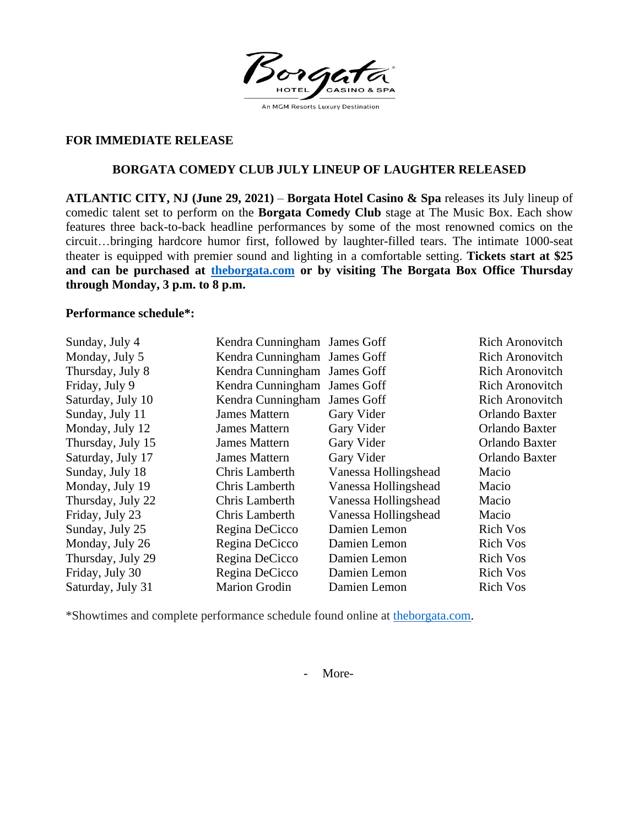Borge HOTEL An MGM Resorts Luxury Destination

## **FOR IMMEDIATE RELEASE**

# **BORGATA COMEDY CLUB JULY LINEUP OF LAUGHTER RELEASED**

**ATLANTIC CITY, NJ (June 29, 2021)** – **Borgata Hotel Casino & Spa** releases its July lineup of comedic talent set to perform on the **Borgata Comedy Club** stage at The Music Box. Each show features three back-to-back headline performances by some of the most renowned comics on the circuit…bringing hardcore humor first, followed by laughter-filled tears. The intimate 1000-seat theater is equipped with premier sound and lighting in a comfortable setting. **Tickets start at \$25 and can be purchased at [theborgata.com](https://www.theborgata.com/) or by visiting The Borgata Box Office Thursday through Monday, 3 p.m. to 8 p.m.**

#### **Performance schedule\*:**

| Sunday, July 4    | Kendra Cunningham James Goff |                      | <b>Rich Aronovitch</b> |
|-------------------|------------------------------|----------------------|------------------------|
| Monday, July 5    | Kendra Cunningham James Goff |                      | <b>Rich Aronovitch</b> |
| Thursday, July 8  | Kendra Cunningham James Goff |                      | <b>Rich Aronovitch</b> |
| Friday, July 9    | Kendra Cunningham James Goff |                      | <b>Rich Aronovitch</b> |
| Saturday, July 10 | Kendra Cunningham James Goff |                      | <b>Rich Aronovitch</b> |
| Sunday, July 11   | <b>James Mattern</b>         | Gary Vider           | Orlando Baxter         |
| Monday, July 12   | <b>James Mattern</b>         | Gary Vider           | Orlando Baxter         |
| Thursday, July 15 | <b>James Mattern</b>         | Gary Vider           | Orlando Baxter         |
| Saturday, July 17 | <b>James Mattern</b>         | Gary Vider           | Orlando Baxter         |
| Sunday, July 18   | Chris Lamberth               | Vanessa Hollingshead | Macio                  |
| Monday, July 19   | Chris Lamberth               | Vanessa Hollingshead | Macio                  |
| Thursday, July 22 | Chris Lamberth               | Vanessa Hollingshead | Macio                  |
| Friday, July 23   | Chris Lamberth               | Vanessa Hollingshead | Macio                  |
| Sunday, July 25   | Regina DeCicco               | Damien Lemon         | <b>Rich Vos</b>        |
| Monday, July 26   | Regina DeCicco               | Damien Lemon         | <b>Rich Vos</b>        |
| Thursday, July 29 | Regina DeCicco               | Damien Lemon         | <b>Rich Vos</b>        |
| Friday, July 30   | Regina DeCicco               | Damien Lemon         | <b>Rich Vos</b>        |
| Saturday, July 31 | <b>Marion Grodin</b>         | Damien Lemon         | <b>Rich Vos</b>        |

\*Showtimes and complete performance schedule found online at [theborgata.com.](https://www.theborgata.com/)

- More-